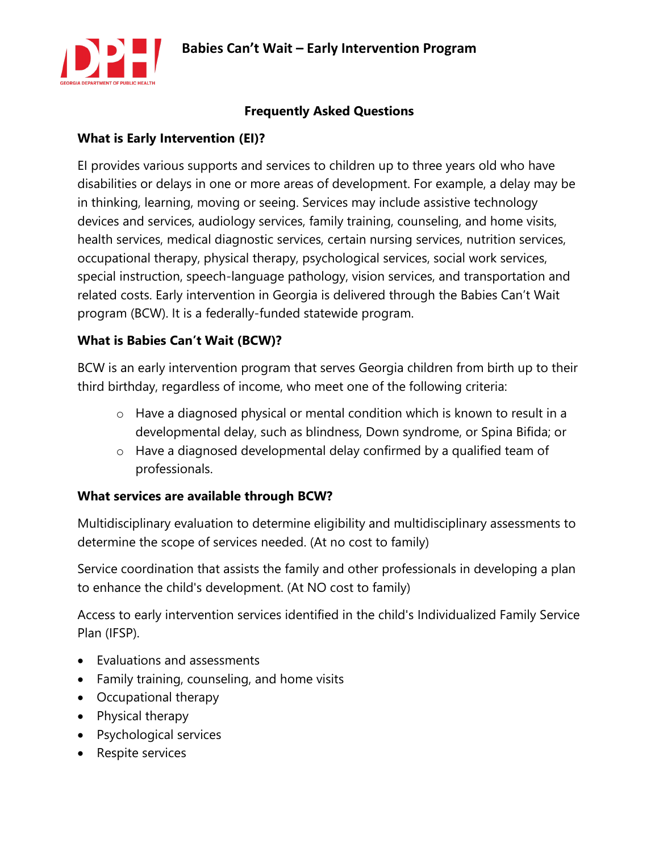

#### **Frequently Asked Questions**

### **What is Early Intervention (EI)?**

EI provides various supports and services to children up to three years old who have disabilities or delays in one or more areas of development. For example, a delay may be in thinking, learning, moving or seeing. Services may include assistive technology devices and services, audiology services, family training, counseling, and home visits, health services, medical diagnostic services, certain nursing services, nutrition services, occupational therapy, physical therapy, psychological services, social work services, special instruction, speech-language pathology, vision services, and transportation and related costs. Early intervention in Georgia is delivered through the Babies Can't Wait program (BCW). It is a federally-funded statewide program.

#### **What is Babies Can't Wait (BCW)?**

BCW is an early intervention program that serves Georgia children from birth up to their third birthday, regardless of income, who meet one of the following criteria:

- o Have a diagnosed physical or mental condition which is known to result in a developmental delay, such as blindness, Down syndrome, or Spina Bifida; or
- o Have a diagnosed developmental delay confirmed by a qualified team of professionals.

#### **What services are available through BCW?**

Multidisciplinary evaluation to determine eligibility and multidisciplinary assessments to determine the scope of services needed. (At no cost to family)

Service coordination that assists the family and other professionals in developing a plan to enhance the child's development. (At NO cost to family)

Access to early intervention services identified in the child's Individualized Family Service Plan (IFSP).

- Evaluations and assessments
- Family training, counseling, and home visits
- Occupational therapy
- Physical therapy
- Psychological services
- Respite services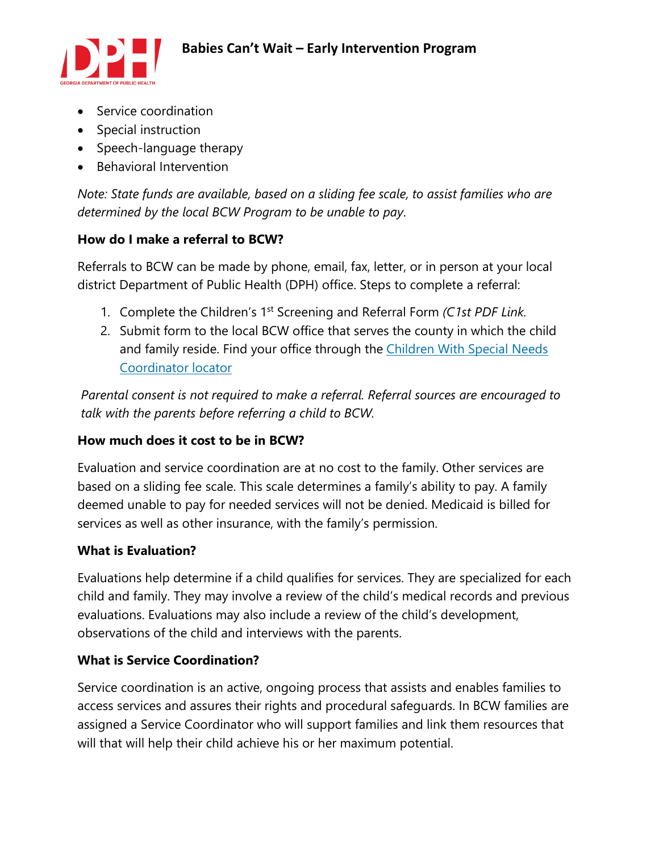

- Service coordination
- Special instruction
- Speech-language therapy
- Behavioral Intervention

*Note: State funds are available, based on a sliding fee scale, to assist families who are determined by the local BCW Program to be unable to pay*.

## **How do I make a referral to BCW?**

Referrals to BCW can be made by phone, email, fax, letter, or in person at your local district Department of Public Health (DPH) office. Steps to complete a referral:

- 1. Complete the Children's 1st Screening and Referral Form *(C1st PDF Link.*
- 2. Submit form to the local BCW office that serves the county in which the child and family reside. Find your office through the [Children](https://sendss.state.ga.us/sendss/!mch.coord_search) With Special Needs [Coordinator](https://sendss.state.ga.us/sendss/!mch.coord_search) locator

*Parental consent is not required to make a referral. Referral sources are encouraged to talk with the parents before referring a child to BCW.*

## **How much does it cost to be in BCW?**

Evaluation and service coordination are at no cost to the family. Other services are based on a sliding fee scale. This scale determines a family's ability to pay. A family deemed unable to pay for needed services will not be denied. Medicaid is billed for services as well as other insurance, with the family's permission.

## **What is Evaluation?**

Evaluations help determine if a child qualifies for services. They are specialized for each child and family. They may involve a review of the child's medical records and previous evaluations. Evaluations may also include a review of the child's development, observations of the child and interviews with the parents.

## **What is Service Coordination?**

Service coordination is an active, ongoing process that assists and enables families to access services and assures their rights and procedural safeguards. In BCW families are assigned a Service Coordinator who will support families and link them resources that will that will help their child achieve his or her maximum potential.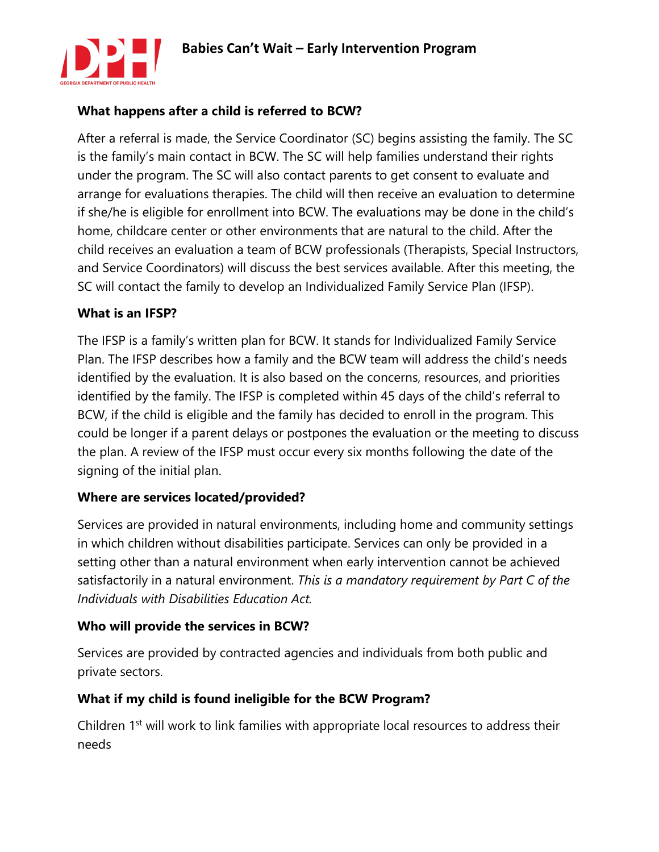

## **What happens after a child is referred to BCW?**

After a referral is made, the Service Coordinator (SC) begins assisting the family. The SC is the family's main contact in BCW. The SC will help families understand their rights under the program. The SC will also contact parents to get consent to evaluate and arrange for evaluations therapies. The child will then receive an evaluation to determine if she/he is eligible for enrollment into BCW. The evaluations may be done in the child's home, childcare center or other environments that are natural to the child. After the child receives an evaluation a team of BCW professionals (Therapists, Special Instructors, and Service Coordinators) will discuss the best services available. After this meeting, the SC will contact the family to develop an Individualized Family Service Plan (IFSP).

#### **What is an IFSP?**

The IFSP is a family's written plan for BCW. It stands for Individualized Family Service Plan. The IFSP describes how a family and the BCW team will address the child's needs identified by the evaluation. It is also based on the concerns, resources, and priorities identified by the family. The IFSP is completed within 45 days of the child's referral to BCW, if the child is eligible and the family has decided to enroll in the program. This could be longer if a parent delays or postpones the evaluation or the meeting to discuss the plan. A review of the IFSP must occur every six months following the date of the signing of the initial plan.

#### **Where are services located/provided?**

Services are provided in natural environments, including home and community settings in which children without disabilities participate. Services can only be provided in a setting other than a natural environment when early intervention cannot be achieved satisfactorily in a natural environment. *This is a mandatory requirement by Part C of the Individuals with Disabilities Education Act.*

#### **Who will provide the services in BCW?**

Services are provided by contracted agencies and individuals from both public and private sectors.

#### **What if my child is found ineligible for the BCW Program?**

Children 1<sup>st</sup> will work to link families with appropriate local resources to address their needs